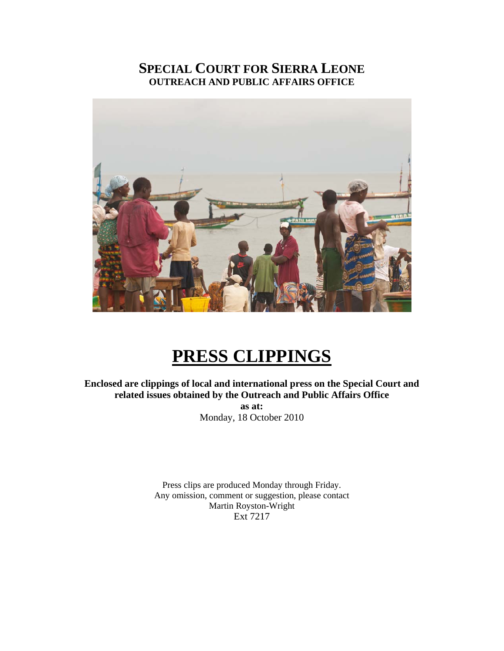## **SPECIAL COURT FOR SIERRA LEONE OUTREACH AND PUBLIC AFFAIRS OFFICE**



# **PRESS CLIPPINGS**

**Enclosed are clippings of local and international press on the Special Court and related issues obtained by the Outreach and Public Affairs Office as at:**  Monday, 18 October 2010

> Press clips are produced Monday through Friday. Any omission, comment or suggestion, please contact Martin Royston-Wright Ext 7217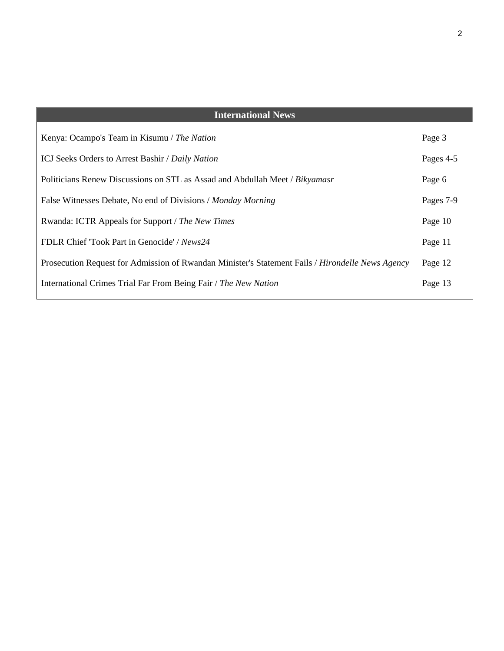| <b>International News</b>                                                                        |           |
|--------------------------------------------------------------------------------------------------|-----------|
| Kenya: Ocampo's Team in Kisumu / The Nation                                                      | Page 3    |
| ICJ Seeks Orders to Arrest Bashir / Daily Nation                                                 | Pages 4-5 |
| Politicians Renew Discussions on STL as Assad and Abdullah Meet / Bikyamasr                      | Page 6    |
| False Witnesses Debate, No end of Divisions / Monday Morning                                     | Pages 7-9 |
| Rwanda: ICTR Appeals for Support / The New Times                                                 | Page 10   |
| FDLR Chief 'Took Part in Genocide' / News24                                                      | Page 11   |
| Prosecution Request for Admission of Rwandan Minister's Statement Fails / Hirondelle News Agency | Page 12   |
| International Crimes Trial Far From Being Fair / The New Nation                                  | Page 13   |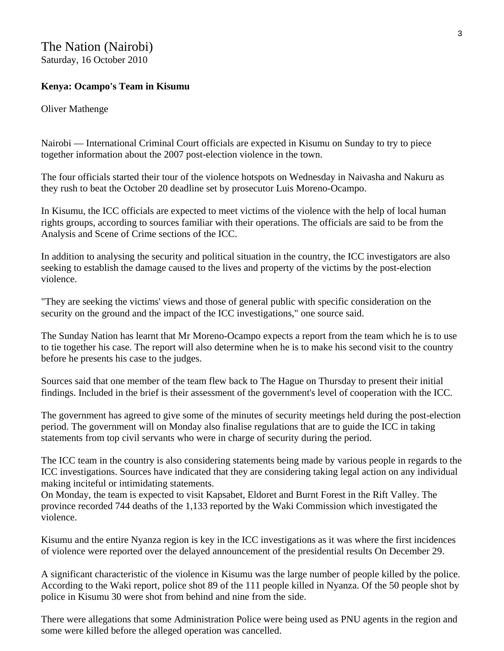## The Nation (Nairobi) Saturday, 16 October 2010

## **Kenya: Ocampo's Team in Kisumu**

Oliver Mathenge

Nairobi — International Criminal Court officials are expected in Kisumu on Sunday to try to piece together information about the 2007 post-election violence in the town.

The four officials started their tour of the violence hotspots on Wednesday in Naivasha and Nakuru as they rush to beat the October 20 deadline set by prosecutor Luis Moreno-Ocampo.

In Kisumu, the ICC officials are expected to meet victims of the violence with the help of local human rights groups, according to sources familiar with their operations. The officials are said to be from the Analysis and Scene of Crime sections of the ICC.

In addition to analysing the security and political situation in the country, the ICC investigators are also seeking to establish the damage caused to the lives and property of the victims by the post-election violence.

"They are seeking the victims' views and those of general public with specific consideration on the security on the ground and the impact of the ICC investigations," one source said.

The Sunday Nation has learnt that Mr Moreno-Ocampo expects a report from the team which he is to use to tie together his case. The report will also determine when he is to make his second visit to the country before he presents his case to the judges.

Sources said that one member of the team flew back to The Hague on Thursday to present their initial findings. Included in the brief is their assessment of the government's level of cooperation with the ICC.

The government has agreed to give some of the minutes of security meetings held during the post-election period. The government will on Monday also finalise regulations that are to guide the ICC in taking statements from top civil servants who were in charge of security during the period.

The ICC team in the country is also considering statements being made by various people in regards to the ICC investigations. Sources have indicated that they are considering taking legal action on any individual making inciteful or intimidating statements.

On Monday, the team is expected to visit Kapsabet, Eldoret and Burnt Forest in the Rift Valley. The province recorded 744 deaths of the 1,133 reported by the Waki Commission which investigated the violence.

Kisumu and the entire Nyanza region is key in the ICC investigations as it was where the first incidences of violence were reported over the delayed announcement of the presidential results On December 29.

A significant characteristic of the violence in Kisumu was the large number of people killed by the police. According to the Waki report, police shot 89 of the 111 people killed in Nyanza. Of the 50 people shot by police in Kisumu 30 were shot from behind and nine from the side.

There were allegations that some Administration Police were being used as PNU agents in the region and some were killed before the alleged operation was cancelled.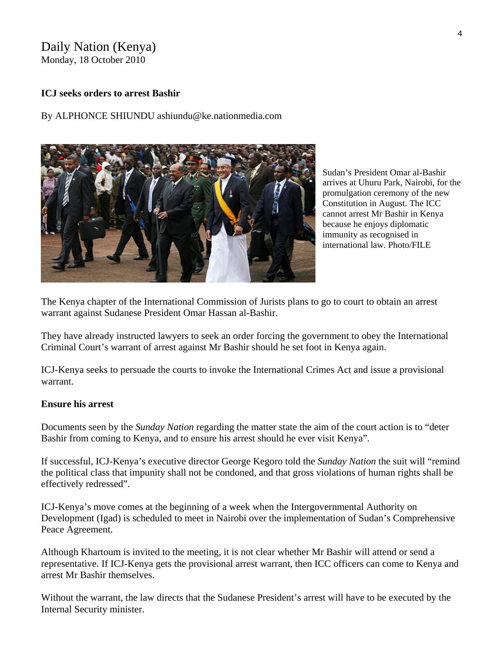## Daily Nation (Kenya) Monday, 18 October 2010

**ICJ seeks orders to arrest Bashir** 

By ALPHONCE SHIUNDU ashiundu@ke.nationmedia.com



Sudan's President Omar al-Bashir arrives at Uhuru Park, Nairobi, for the promulgation ceremony of the new Constitution in August. The ICC cannot arrest Mr Bashir in Kenya because he enjoys diplomatic immunity as recognised in international law. Photo/FILE

The Kenya chapter of the International Commission of Jurists plans to go to court to obtain an arrest warrant against Sudanese President Omar Hassan al-Bashir.

They have already instructed lawyers to seek an order forcing the government to obey the International Criminal Court's warrant of arrest against Mr Bashir should he set foot in Kenya again.

ICJ-Kenya seeks to persuade the courts to invoke the International Crimes Act and issue a provisional warrant.

### **Ensure his arrest**

Documents seen by the *Sunday Nation* regarding the matter state the aim of the court action is to "deter Bashir from coming to Kenya, and to ensure his arrest should he ever visit Kenya".

If successful, ICJ-Kenya's executive director George Kegoro told the *Sunday Nation* the suit will "remind the political class that impunity shall not be condoned, and that gross violations of human rights shall be effectively redressed".

ICJ-Kenya's move comes at the beginning of a week when the Intergovernmental Authority on Development (Igad) is scheduled to meet in Nairobi over the implementation of Sudan's Comprehensive Peace Agreement.

Although Khartoum is invited to the meeting, it is not clear whether Mr Bashir will attend or send a representative. If ICJ-Kenya gets the provisional arrest warrant, then ICC officers can come to Kenya and arrest Mr Bashir themselves.

Without the warrant, the law directs that the Sudanese President's arrest will have to be executed by the Internal Security minister.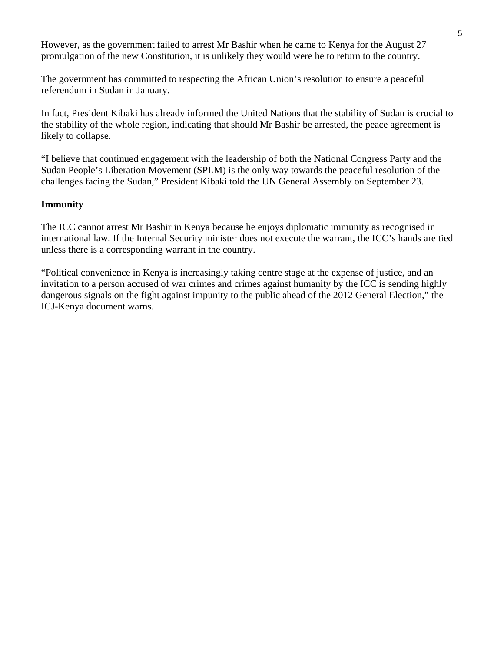However, as [the government failed to arrest Mr Bashir when he came to Kenya](http://www.nation.co.ke/News/-/1056/998360/-/wckoxo/-/index.html) for the August 27 promulgation of the new Constitution, it is unlikely they would were he to return to the country.

The government has committed to respecting the African Union's resolution to ensure a peaceful referendum in Sudan in January.

In fact, President Kibaki has already informed the United Nations that the stability of Sudan is crucial to the stability of the whole region, indicating that should Mr Bashir be arrested, the peace agreement is likely to collapse.

"I believe that continued engagement with the leadership of both the National Congress Party and the Sudan People's Liberation Movement (SPLM) is the only way towards the peaceful resolution of the challenges facing the Sudan," President Kibaki told the UN General Assembly on September 23.

## **Immunity**

The ICC cannot arrest Mr Bashir in Kenya because he enjoys diplomatic immunity as recognised in international law. If the Internal Security minister does not execute the warrant, the ICC's hands are tied unless there is a corresponding warrant in the country.

"Political convenience in Kenya is increasingly taking centre stage at the expense of justice, and an invitation to a person accused of war crimes and crimes against humanity by the ICC is sending highly dangerous signals on the fight against impunity to the public ahead of the 2012 General Election," the ICJ-Kenya document warns.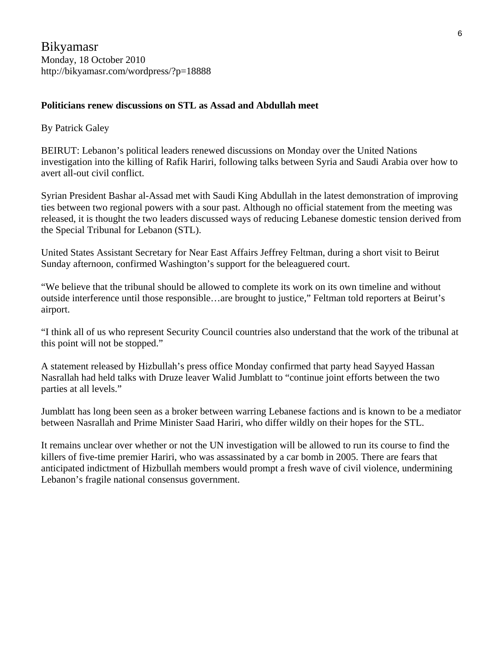Bikyamasr Monday, 18 October 2010 <http://bikyamasr.com/wordpress/?p=18888>

## **Politicians renew discussions on STL as Assad and Abdullah meet**

## By Patrick Galey

BEIRUT: Lebanon's political leaders renewed discussions on Monday over the United Nations investigation into the killing of Rafik Hariri, following talks between Syria and Saudi Arabia over how to avert all-out civil conflict.

Syrian President Bashar al-Assad met with Saudi King Abdullah in the latest demonstration of improving ties between two regional powers with a sour past. Although no official statement from the meeting was released, it is thought the two leaders discussed ways of reducing Lebanese domestic tension derived from the Special Tribunal for Lebanon (STL).

United States Assistant Secretary for Near East Affairs Jeffrey Feltman, during a short visit to Beirut Sunday afternoon, confirmed Washington's support for the beleaguered court.

"We believe that the tribunal should be allowed to complete its work on its own timeline and without outside interference until those responsible…are brought to justice," Feltman told reporters at Beirut's airport.

"I think all of us who represent Security Council countries also understand that the work of the tribunal at this point will not be stopped."

A statement released by Hizbullah's press office Monday confirmed that party head Sayyed Hassan Nasrallah had held talks with Druze leaver Walid Jumblatt to "continue joint efforts between the two parties at all levels."

Jumblatt has long been seen as a broker between warring Lebanese factions and is known to be a mediator between Nasrallah and Prime Minister Saad Hariri, who differ wildly on their hopes for the STL.

It remains unclear over whether or not the UN investigation will be allowed to run its course to find the killers of five-time premier Hariri, who was assassinated by a car bomb in 2005. There are fears that anticipated indictment of Hizbullah members would prompt a fresh wave of civil violence, undermining Lebanon's fragile national consensus government.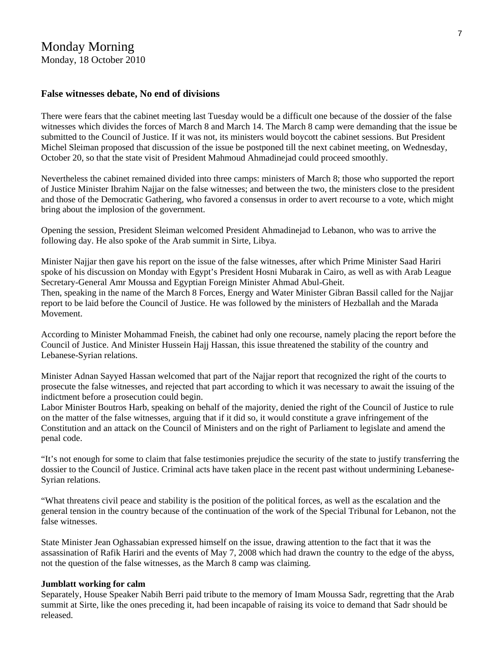## Monday Morning Monday, 18 October 2010

#### **False witnesses debate, No end of divisions**

There were fears that the cabinet meeting last Tuesday would be a difficult one because of the dossier of the false witnesses which divides the forces of March 8 and March 14. The March 8 camp were demanding that the issue be submitted to the Council of Justice. If it was not, its ministers would boycott the cabinet sessions. But President Michel Sleiman proposed that discussion of the issue be postponed till the next cabinet meeting, on Wednesday, October 20, so that the state visit of President Mahmoud Ahmadinejad could proceed smoothly.

Nevertheless the cabinet remained divided into three camps: ministers of March 8; those who supported the report of Justice Minister Ibrahim Najjar on the false witnesses; and between the two, the ministers close to the president and those of the Democratic Gathering, who favored a consensus in order to avert recourse to a vote, which might bring about the implosion of the government.

Opening the session, President Sleiman welcomed President Ahmadinejad to Lebanon, who was to arrive the following day. He also spoke of the Arab summit in Sirte, Libya.

Minister Najjar then gave his report on the issue of the false witnesses, after which Prime Minister Saad Hariri spoke of his discussion on Monday with Egypt's President Hosni Mubarak in Cairo, as well as with Arab League Secretary-General Amr Moussa and Egyptian Foreign Minister Ahmad Abul-Gheit. Then, speaking in the name of the March 8 Forces, Energy and Water Minister Gibran Bassil called for the Najjar report to be laid before the Council of Justice. He was followed by the ministers of Hezballah and the Marada Movement.

According to Minister Mohammad Fneish, the cabinet had only one recourse, namely placing the report before the Council of Justice. And Minister Hussein Hajj Hassan, this issue threatened the stability of the country and Lebanese-Syrian relations.

Minister Adnan Sayyed Hassan welcomed that part of the Najjar report that recognized the right of the courts to prosecute the false witnesses, and rejected that part according to which it was necessary to await the issuing of the indictment before a prosecution could begin.

Labor Minister Boutros Harb, speaking on behalf of the majority, denied the right of the Council of Justice to rule on the matter of the false witnesses, arguing that if it did so, it would constitute a grave infringement of the Constitution and an attack on the Council of Ministers and on the right of Parliament to legislate and amend the penal code.

"It's not enough for some to claim that false testimonies prejudice the security of the state to justify transferring the dossier to the Council of Justice. Criminal acts have taken place in the recent past without undermining Lebanese-Syrian relations.

"What threatens civil peace and stability is the position of the political forces, as well as the escalation and the general tension in the country because of the continuation of the work of the Special Tribunal for Lebanon, not the false witnesses.

State Minister Jean Oghassabian expressed himself on the issue, drawing attention to the fact that it was the assassination of Rafik Hariri and the events of May 7, 2008 which had drawn the country to the edge of the abyss, not the question of the false witnesses, as the March 8 camp was claiming.

#### **Jumblatt working for calm**

Separately, House Speaker Nabih Berri paid tribute to the memory of Imam Moussa Sadr, regretting that the Arab summit at Sirte, like the ones preceding it, had been incapable of raising its voice to demand that Sadr should be released.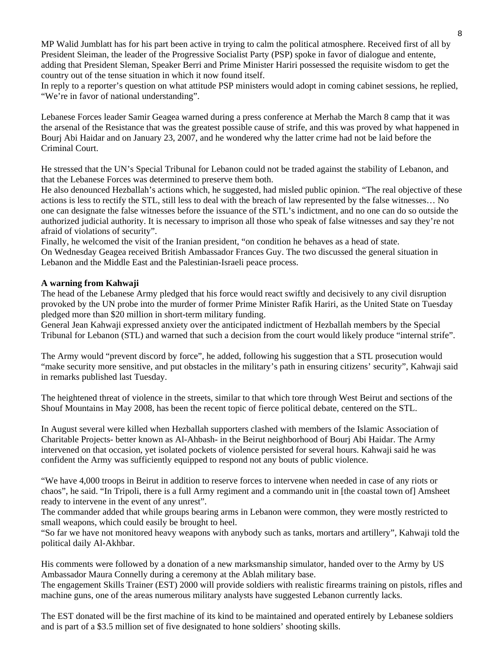MP Walid Jumblatt has for his part been active in trying to calm the political atmosphere. Received first of all by President Sleiman, the leader of the Progressive Socialist Party (PSP) spoke in favor of dialogue and entente, adding that President Sleman, Speaker Berri and Prime Minister Hariri possessed the requisite wisdom to get the country out of the tense situation in which it now found itself.

In reply to a reporter's question on what attitude PSP ministers would adopt in coming cabinet sessions, he replied, "We're in favor of national understanding".

Lebanese Forces leader Samir Geagea warned during a press conference at Merhab the March 8 camp that it was the arsenal of the Resistance that was the greatest possible cause of strife, and this was proved by what happened in Bourj Abi Haidar and on January 23, 2007, and he wondered why the latter crime had not be laid before the Criminal Court.

He stressed that the UN's Special Tribunal for Lebanon could not be traded against the stability of Lebanon, and that the Lebanese Forces was determined to preserve them both.

He also denounced Hezballah's actions which, he suggested, had misled public opinion. "The real objective of these actions is less to rectify the STL, still less to deal with the breach of law represented by the false witnesses… No one can designate the false witnesses before the issuance of the STL's indictment, and no one can do so outside the authorized judicial authority. It is necessary to imprison all those who speak of false witnesses and say they're not afraid of violations of security".

Finally, he welcomed the visit of the Iranian president, "on condition he behaves as a head of state. On Wednesday Geagea received British Ambassador Frances Guy. The two discussed the general situation in Lebanon and the Middle East and the Palestinian-Israeli peace process.

#### **A warning from Kahwaji**

The head of the Lebanese Army pledged that his force would react swiftly and decisively to any civil disruption provoked by the UN probe into the murder of former Prime Minister Rafik Hariri, as the United State on Tuesday pledged more than \$20 million in short-term military funding.

General Jean Kahwaji expressed anxiety over the anticipated indictment of Hezballah members by the Special Tribunal for Lebanon (STL) and warned that such a decision from the court would likely produce "internal strife".

The Army would "prevent discord by force", he added, following his suggestion that a STL prosecution would "make security more sensitive, and put obstacles in the military's path in ensuring citizens' security", Kahwaji said in remarks published last Tuesday.

The heightened threat of violence in the streets, similar to that which tore through West Beirut and sections of the Shouf Mountains in May 2008, has been the recent topic of fierce political debate, centered on the STL.

In August several were killed when Hezballah supporters clashed with members of the Islamic Association of Charitable Projects- better known as Al-Ahbash- in the Beirut neighborhood of Bourj Abi Haidar. The Army intervened on that occasion, yet isolated pockets of violence persisted for several hours. Kahwaji said he was confident the Army was sufficiently equipped to respond not any bouts of public violence.

"We have 4,000 troops in Beirut in addition to reserve forces to intervene when needed in case of any riots or chaos", he said. "In Tripoli, there is a full Army regiment and a commando unit in [the coastal town of] Amsheet ready to intervene in the event of any unrest".

The commander added that while groups bearing arms in Lebanon were common, they were mostly restricted to small weapons, which could easily be brought to heel.

"So far we have not monitored heavy weapons with anybody such as tanks, mortars and artillery", Kahwaji told the political daily Al-Akhbar.

His comments were followed by a donation of a new marksmanship simulator, handed over to the Army by US Ambassador Maura Connelly during a ceremony at the Ablah military base.

The engagement Skills Trainer (EST) 2000 will provide soldiers with realistic firearms training on pistols, rifles and machine guns, one of the areas numerous military analysts have suggested Lebanon currently lacks.

The EST donated will be the first machine of its kind to be maintained and operated entirely by Lebanese soldiers and is part of a \$3.5 million set of five designated to hone soldiers' shooting skills.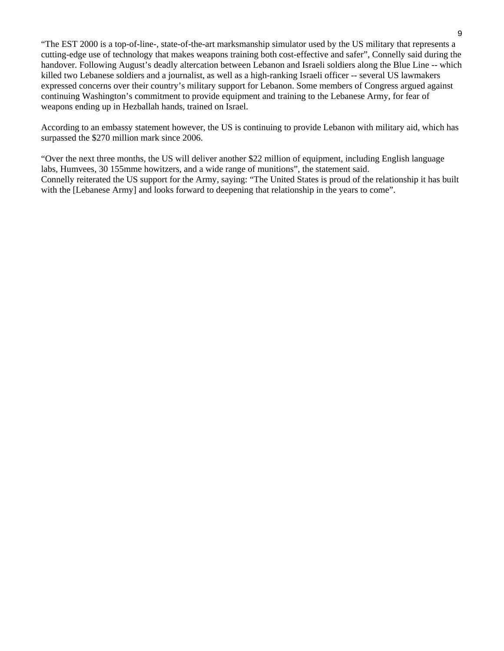"The EST 2000 is a top-of-line-, state-of-the-art marksmanship simulator used by the US military that represents a cutting-edge use of technology that makes weapons training both cost-effective and safer", Connelly said during the handover. Following August's deadly altercation between Lebanon and Israeli soldiers along the Blue Line -- which killed two Lebanese soldiers and a journalist, as well as a high-ranking Israeli officer -- several US lawmakers expressed concerns over their country's military support for Lebanon. Some members of Congress argued against continuing Washington's commitment to provide equipment and training to the Lebanese Army, for fear of weapons ending up in Hezballah hands, trained on Israel.

According to an embassy statement however, the US is continuing to provide Lebanon with military aid, which has surpassed the \$270 million mark since 2006.

"Over the next three months, the US will deliver another \$22 million of equipment, including English language labs, Humvees, 30 155mme howitzers, and a wide range of munitions", the statement said. Connelly reiterated the US support for the Army, saying: "The United States is proud of the relationship it has built with the [Lebanese Army] and looks forward to deepening that relationship in the years to come".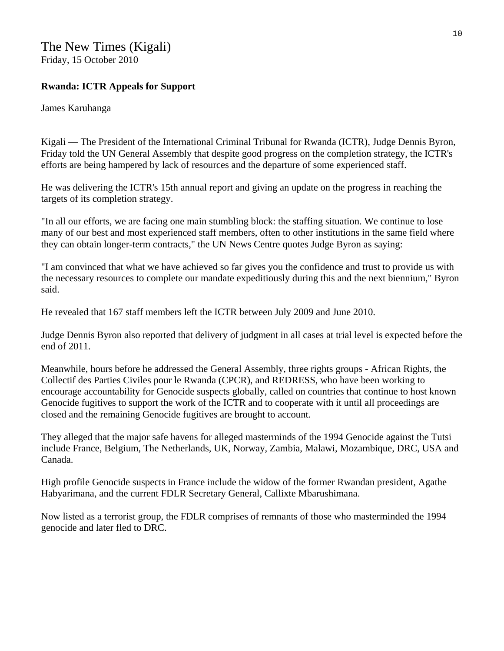## The New Times (Kigali) Friday, 15 October 2010

## **Rwanda: ICTR Appeals for Support**

## James Karuhanga

Kigali — The President of the International Criminal Tribunal for Rwanda (ICTR), Judge Dennis Byron, Friday told the UN General Assembly that despite good progress on the completion strategy, the ICTR's efforts are being hampered by lack of resources and the departure of some experienced staff.

He was delivering the ICTR's 15th annual report and giving an update on the progress in reaching the targets of its completion strategy.

"In all our efforts, we are facing one main stumbling block: the staffing situation. We continue to lose many of our best and most experienced staff members, often to other institutions in the same field where they can obtain longer-term contracts," the UN News Centre quotes Judge Byron as saying:

"I am convinced that what we have achieved so far gives you the confidence and trust to provide us with the necessary resources to complete our mandate expeditiously during this and the next biennium," Byron said.

He revealed that 167 staff members left the ICTR between July 2009 and June 2010.

Judge Dennis Byron also reported that delivery of judgment in all cases at trial level is expected before the end of 2011.

Meanwhile, hours before he addressed the General Assembly, three rights groups - African Rights, the Collectif des Parties Civiles pour le Rwanda (CPCR), and REDRESS, who have been working to encourage accountability for Genocide suspects globally, called on countries that continue to host known Genocide fugitives to support the work of the ICTR and to cooperate with it until all proceedings are closed and the remaining Genocide fugitives are brought to account.

They alleged that the major safe havens for alleged masterminds of the 1994 Genocide against the Tutsi include France, Belgium, The Netherlands, UK, Norway, Zambia, Malawi, Mozambique, DRC, USA and Canada.

High profile Genocide suspects in France include the widow of the former Rwandan president, Agathe Habyarimana, and the current FDLR Secretary General, Callixte Mbarushimana.

Now listed as a terrorist group, the FDLR comprises of remnants of those who masterminded the 1994 genocide and later fled to DRC.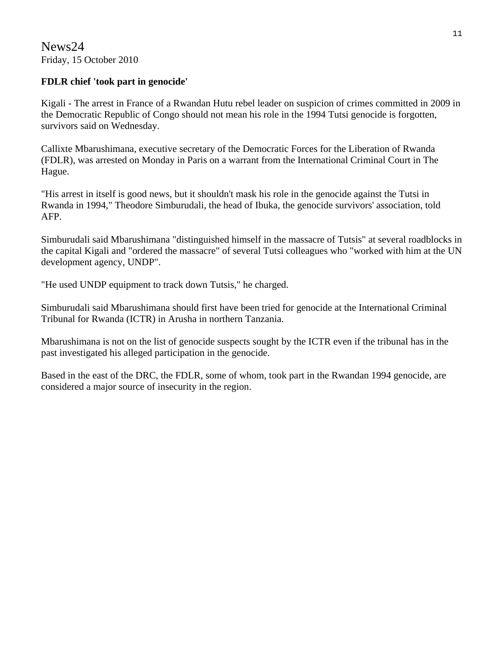News24 Friday, 15 October 2010

## **FDLR chief 'took part in genocide'**

Kigali - The arrest in France of a Rwandan Hutu rebel leader on suspicion of crimes committed in 2009 in the Democratic Republic of Congo should not mean his role in the 1994 Tutsi genocide is forgotten, survivors said on Wednesday.

Callixte Mbarushimana, executive secretary of the Democratic Forces for the Liberation of Rwanda (FDLR), was arrested on Monday in Paris on a warrant from the International Criminal Court in The Hague.

"His arrest in itself is good news, but it shouldn't mask his role in the genocide against the Tutsi in Rwanda in 1994," Theodore Simburudali, the head of Ibuka, the genocide survivors' association, told AFP.

Simburudali said Mbarushimana "distinguished himself in the massacre of Tutsis" at several roadblocks in the capital Kigali and "ordered the massacre" of several Tutsi colleagues who "worked with him at the UN development agency, UNDP".

"He used UNDP equipment to track down Tutsis," he charged.

Simburudali said Mbarushimana should first have been tried for genocide at the International Criminal Tribunal for Rwanda (ICTR) in Arusha in northern Tanzania.

Mbarushimana is not on the list of genocide suspects sought by the ICTR even if the tribunal has in the past investigated his alleged participation in the genocide.

Based in the east of the DRC, the FDLR, some of whom, took part in the Rwandan 1994 genocide, are considered a major source of insecurity in the region.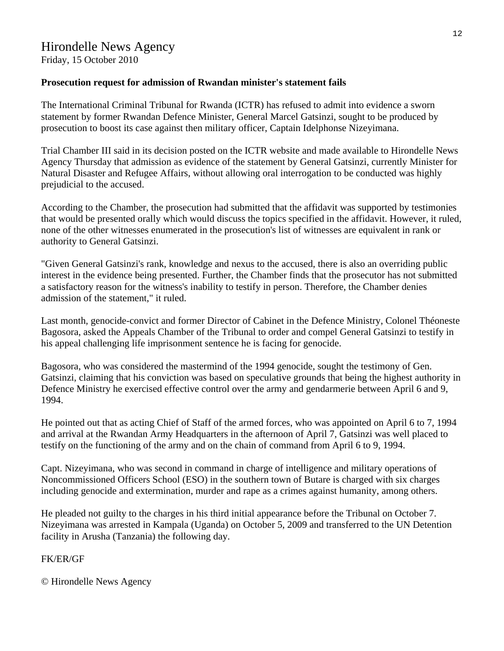## **Prosecution request for admission of Rwandan minister's statement fails**

The International Criminal Tribunal for Rwanda (ICTR) has refused to admit into evidence a sworn statement by former Rwandan Defence Minister, General Marcel Gatsinzi, sought to be produced by prosecution to boost its case against then military officer, Captain Idelphonse Nizeyimana.

Trial Chamber III said in its decision posted on the ICTR website and made available to Hirondelle News Agency Thursday that admission as evidence of the statement by General Gatsinzi, currently Minister for Natural Disaster and Refugee Affairs, without allowing oral interrogation to be conducted was highly prejudicial to the accused.

According to the Chamber, the prosecution had submitted that the affidavit was supported by testimonies that would be presented orally which would discuss the topics specified in the affidavit. However, it ruled, none of the other witnesses enumerated in the prosecution's list of witnesses are equivalent in rank or authority to General Gatsinzi.

"Given General Gatsinzi's rank, knowledge and nexus to the accused, there is also an overriding public interest in the evidence being presented. Further, the Chamber finds that the prosecutor has not submitted a satisfactory reason for the witness's inability to testify in person. Therefore, the Chamber denies admission of the statement," it ruled.

Last month, genocide-convict and former Director of Cabinet in the Defence Ministry, Colonel Théoneste Bagosora, asked the Appeals Chamber of the Tribunal to order and compel General Gatsinzi to testify in his appeal challenging life imprisonment sentence he is facing for genocide.

Bagosora, who was considered the mastermind of the 1994 genocide, sought the testimony of Gen. Gatsinzi, claiming that his conviction was based on speculative grounds that being the highest authority in Defence Ministry he exercised effective control over the army and gendarmerie between April 6 and 9, 1994.

He pointed out that as acting Chief of Staff of the armed forces, who was appointed on April 6 to 7, 1994 and arrival at the Rwandan Army Headquarters in the afternoon of April 7, Gatsinzi was well placed to testify on the functioning of the army and on the chain of command from April 6 to 9, 1994.

Capt. Nizeyimana, who was second in command in charge of intelligence and military operations of Noncommissioned Officers School (ESO) in the southern town of Butare is charged with six charges including genocide and extermination, murder and rape as a crimes against humanity, among others.

He pleaded not guilty to the charges in his third initial appearance before the Tribunal on October 7. Nizeyimana was arrested in Kampala (Uganda) on October 5, 2009 and transferred to the UN Detention facility in Arusha (Tanzania) the following day.

## FK/ER/GF

© Hirondelle News Agency